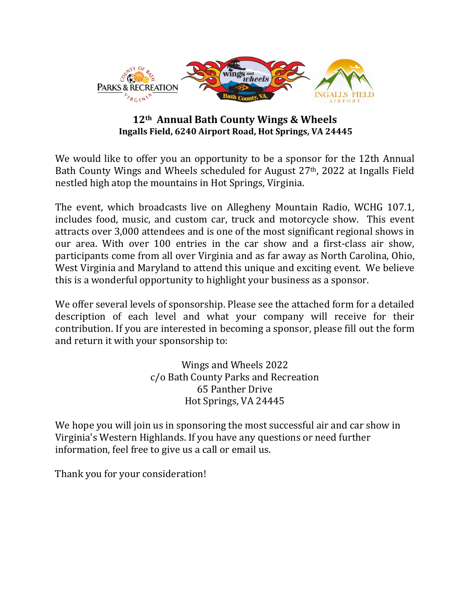

# **12th Annual Bath County Wings & Wheels Ingalls Field, 6240 Airport Road, Hot Springs, VA 24445**

We would like to offer you an opportunity to be a sponsor for the 12th Annual Bath County Wings and Wheels scheduled for August 27th, 2022 at Ingalls Field nestled high atop the mountains in Hot Springs, Virginia.

The event, which broadcasts live on Allegheny Mountain Radio, WCHG 107.1, includes food, music, and custom car, truck and motorcycle show. This event attracts over 3,000 attendees and is one of the most significant regional shows in our area. With over 100 entries in the car show and a first-class air show, participants come from all over Virginia and as far away as North Carolina, Ohio, West Virginia and Maryland to attend this unique and exciting event. We believe this is a wonderful opportunity to highlight your business as a sponsor.

We offer several levels of sponsorship. Please see the attached form for a detailed description of each level and what your company will receive for their contribution. If you are interested in becoming a sponsor, please fill out the form and return it with your sponsorship to:

> Wings and Wheels 2022 c/o Bath County Parks and Recreation 65 Panther Drive Hot Springs, VA 24445

We hope you will join us in sponsoring the most successful air and car show in Virginia's Western Highlands. If you have any questions or need further information, feel free to give us a call or email us.

Thank you for your consideration!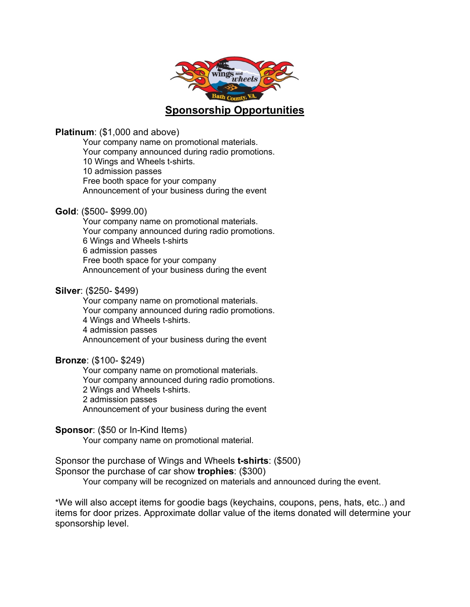

### **Platinum**: (\$1,000 and above)

Your company name on promotional materials. Your company announced during radio promotions. 10 Wings and Wheels t-shirts. 10 admission passes Free booth space for your company Announcement of your business during the event

# **Gold**: (\$500- \$999.00)

Your company name on promotional materials. Your company announced during radio promotions. 6 Wings and Wheels t-shirts 6 admission passes Free booth space for your company Announcement of your business during the event

# **Silver**: (\$250- \$499)

Your company name on promotional materials. Your company announced during radio promotions. 4 Wings and Wheels t-shirts. 4 admission passes Announcement of your business during the event

### **Bronze**: (\$100- \$249)

Your company name on promotional materials. Your company announced during radio promotions. 2 Wings and Wheels t-shirts. 2 admission passes Announcement of your business during the event

### **Sponsor**: (\$50 or In-Kind Items)

Your company name on promotional material.

# Sponsor the purchase of Wings and Wheels **t-shirts**: (\$500)

Sponsor the purchase of car show **trophies**: (\$300)

Your company will be recognized on materials and announced during the event.

\*We will also accept items for goodie bags (keychains, coupons, pens, hats, etc..) and items for door prizes. Approximate dollar value of the items donated will determine your sponsorship level.